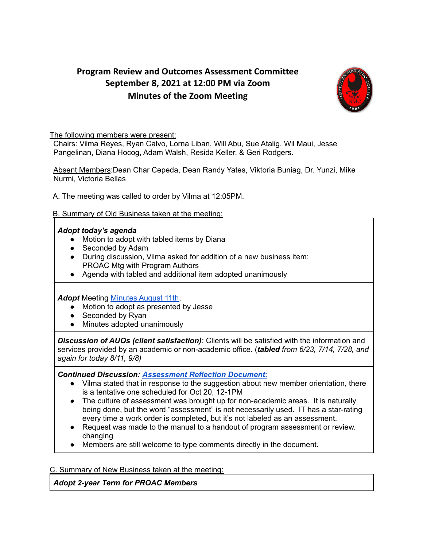## **Program Review and Outcomes Assessment Committee September 8, 2021 at 12:00 PM via Zoom Minutes of the Zoom Meeting**



The following members were present:

Chairs: Vilma Reyes, Ryan Calvo, Lorna Liban, Will Abu, Sue Atalig, Wil Maui, Jesse Pangelinan, Diana Hocog, Adam Walsh, Resida Keller, & Geri Rodgers.

Absent Members:Dean Char Cepeda, Dean Randy Yates, Viktoria Buniag, Dr. Yunzi, Mike Nurmi, Victoria Bellas

A. The meeting was called to order by Vilma at 12:05PM.

## B. Summary of Old Business taken at the meeting:

## *Adopt today's agenda*

- Motion to adopt with tabled items by Diana
- Seconded by Adam
- During discussion, Vilma asked for addition of a new business item: PROAC Mtg with Program Authors
- Agenda with tabled and additional item adopted unanimously

*Adopt* Meeting [Minutes](https://docs.google.com/document/d/1aU3u-8HB8lWtcHaPZ_qjU8cwjCTQEKPwnMFyp9HnjjE/edit#) August 11th.

- Motion to adopt as presented by Jesse
- Seconded by Ryan
- Minutes adopted unanimously

*Discussion of AUOs (client satisfaction)*: Clients will be satisfied with the information and services provided by an academic or non-academic office. (*tabled from 6/23, 7/14, 7/28, and again for today 8/11, 9/8)*

*Continued Discussion: [Assessment](https://docs.google.com/document/d/17U1uKV9XMVGVEEN8qzEmFhsao4kG3Xz0KOc9jXcWvnU/edit) Reflection Document:*

- Vilma stated that in response to the suggestion about new member orientation, there is a tentative one scheduled for Oct 20, 12-1PM
- The culture of assessment was brought up for non-academic areas. It is naturally being done, but the word "assessment" is not necessarily used. IT has a star-rating every time a work order is completed, but it's not labeled as an assessment.
- Request was made to the manual to a handout of program assessment or review. changing
- Members are still welcome to type comments directly in the document.

C. Summary of New Business taken at the meeting:

*Adopt 2-year Term for PROAC Members*